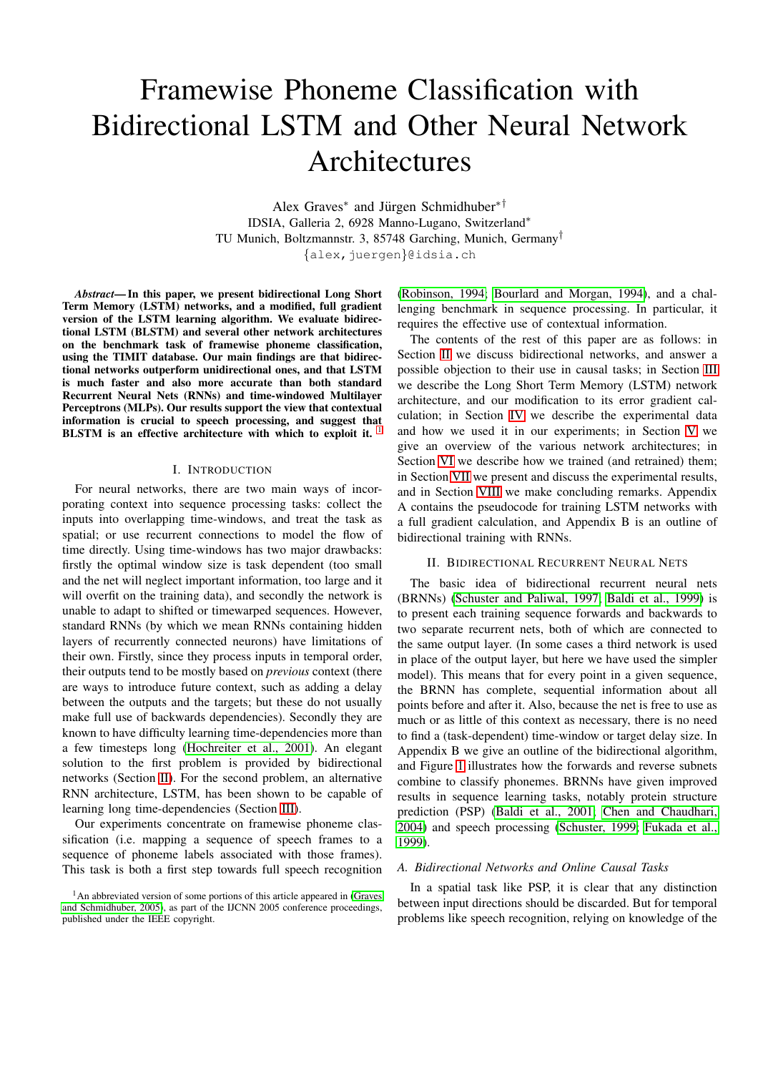# Framewise Phoneme Classification with Bidirectional LSTM and Other Neural Network Architectures

Alex Graves<sup>\*</sup> and Jürgen Schmidhuber<sup>\*†</sup> IDSIA, Galleria 2, 6928 Manno-Lugano, Switzerland<sup>∗</sup> TU Munich, Boltzmannstr. 3, 85748 Garching, Munich, Germany† {alex,juergen}@idsia.ch

*Abstract*— In this paper, we present bidirectional Long Short Term Memory (LSTM) networks, and a modified, full gradient version of the LSTM learning algorithm. We evaluate bidirectional LSTM (BLSTM) and several other network architectures on the benchmark task of framewise phoneme classification, using the TIMIT database. Our main findings are that bidirectional networks outperform unidirectional ones, and that LSTM is much faster and also more accurate than both standard Recurrent Neural Nets (RNNs) and time-windowed Multilayer Perceptrons (MLPs). Our results support the view that contextual information is crucial to speech processing, and suggest that BLSTM is an effective architecture with which to exploit it.

# I. INTRODUCTION

For neural networks, there are two main ways of incorporating context into sequence processing tasks: collect the inputs into overlapping time-windows, and treat the task as spatial; or use recurrent connections to model the flow of time directly. Using time-windows has two major drawbacks: firstly the optimal window size is task dependent (too small and the net will neglect important information, too large and it will overfit on the training data), and secondly the network is unable to adapt to shifted or timewarped sequences. However, standard RNNs (by which we mean RNNs containing hidden layers of recurrently connected neurons) have limitations of their own. Firstly, since they process inputs in temporal order, their outputs tend to be mostly based on *previous* context (there are ways to introduce future context, such as adding a delay between the outputs and the targets; but these do not usually make full use of backwards dependencies). Secondly they are known to have difficulty learning time-dependencies more than a few timesteps long (Hochreiter et al., 2001). An elegant solution to the first problem is provided by bidirectional networks (Section II). For the second problem, an alternative RNN architecture, LSTM, has been shown to be capable of learning long time-dep[endencies \(Section](#page-7-0) III).

Our experiments concentrate on framewise phoneme classification (i.e. mapping a sequence of speech frames to a sequence of phoneme labels associated with those frames). This task is both a first step towards full [sp](#page-1-0)eech recognition (Robinson, 1994; Bourlard and Morgan, 1994), and a challenging benchmark in sequence processing. In particular, it requires the effective use of contextual information.

The contents of the rest of this paper are as follows: in [Section](#page-7-0) II we dis[cuss bidirectional networks,](#page-7-0) and answer a possible objection to their use in causal tasks; in Section III we describe the Long Short Term Memory (LSTM) network architecture, and our modification to its error gradient calculation; in Section IV we describe the experimental data and how we used it in our experiments; in Section V [we](#page-1-0) give an overview of the various network architectures; in Section VI we describe how we trained (and retrained) them; in Section VII we pre[sent](#page-2-0) and discuss the experimental results, and in Section VIII we make concluding remarks. Ap[pen](#page-2-0)dix A contains the pseudocode for training LSTM networks with a full g[radi](#page-3-0)ent calculation, and Appendix B is an outline of bidirectio[nal tr](#page-3-0)aining with RNNs.

# II. BIDI[RECTI](#page-5-0)ONAL RECURRENT NEURAL NETS

The basic idea of bidirectional recurrent neural nets (BRNNs) (Schuster and Paliwal, 1997; Baldi et al., 1999) is to present each training sequence forwards and backwards to two separate recurrent nets, both of which are connected to the same output layer. (In some cases a third network is used in place of [the output layer, but here we have used the simp](#page-7-0)ler model). This means that for every point in a given sequence, the BRNN has complete, sequential information about all points before and after it. Also, because the net is free to use as much or as little of this context as necessary, there is no need to find a (task-dependent) time-window or target delay size. In Appendix B we give an outline of the bidirectional algorithm, and Figure 1 illustrates how the forwards and reverse subnets combine to classify phonemes. BRNNs have given improved results in sequence learning tasks, notably protein structure prediction (PSP) (Baldi et al., 2001; Chen and Chaudhari, 2004) and [sp](#page-1-0)eech processing (Schuster, 1999; Fukada et al., 1999).

#### *A. Bidirectional N[etworks and Online Causal Tasks](#page-7-0)*

[In](#page-7-0) a spatial task like PSP, [it is clear that](#page-7-0) [any distinction](#page-7-0) [betwe](#page-7-0)en input directions should be discarded. But for temporal problems like speech recognition, relying on knowledge of the

 $<sup>1</sup>$ An abbreviated version of some portions of this article appeared in (Graves</sup> and Schmidhuber, 2005), as part of the IJCNN 2005 conference proceedings, published under the IEEE copyright.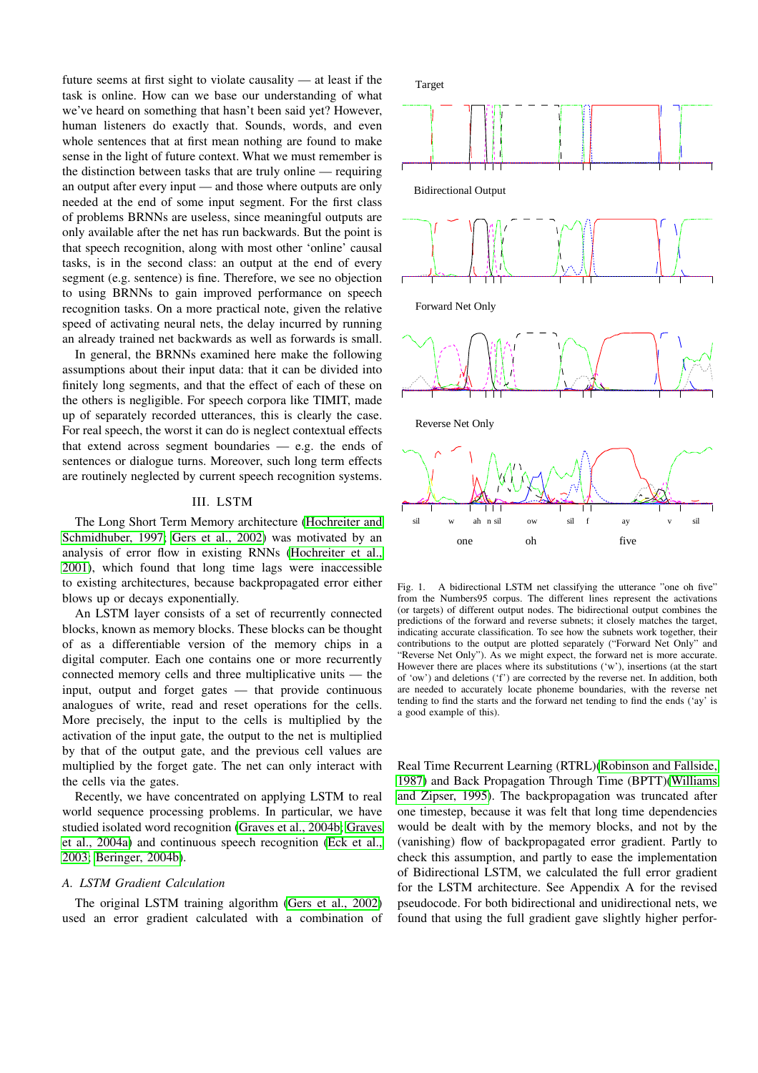<span id="page-1-0"></span>future seems at first sight to violate causality — at least if the task is online. How can we base our understanding of what we've heard on something that hasn't been said yet? However, human listeners do exactly that. Sounds, words, and even whole sentences that at first mean nothing are found to make sense in the light of future context. What we must remember is the distinction between tasks that are truly online — requiring an output after every input — and those where outputs are only needed at the end of some input segment. For the first class of problems BRNNs are useless, since meaningful outputs are only available after the net has run backwards. But the point is that speech recognition, along with most other 'online' causal tasks, is in the second class: an output at the end of every segment (e.g. sentence) is fine. Therefore, we see no objection to using BRNNs to gain improved performance on speech recognition tasks. On a more practical note, given the relative speed of activating neural nets, the delay incurred by running an already trained net backwards as well as forwards is small.

In general, the BRNNs examined here make the following assumptions about their input data: that it can be divided into finitely long segments, and that the effect of each of these on the others is negligible. For speech corpora like TIMIT, made up of separately recorded utterances, this is clearly the case. For real speech, the worst it can do is neglect contextual effects that extend across segment boundaries — e.g. the ends of sentences or dialogue turns. Moreover, such long term effects are routinely neglected by current speech recognition systems.

#### III. LSTM

The Long Short Term Memory architecture (Hochreiter and Schmidhuber, 1997; Gers et al., 2002) was motivated by an analysis of error flow in existing RNNs (Hochreiter et al., 2001), which found that long time lags were inaccessible to existing architectures, because backpropaga[ted error either](#page-7-0) [blows up or decays](#page-7-0) [exponentially.](#page-7-0)

An LSTM layer consists of a set of rec[urrently connected](#page-7-0) [block](#page-7-0)s, known as memory blocks. These blocks can be thought of as a differentiable version of the memory chips in a digital computer. Each one contains one or more recurrently connected memory cells and three multiplicative units — the input, output and forget gates — that provide continuous analogues of write, read and reset operations for the cells. More precisely, the input to the cells is multiplied by the activation of the input gate, the output to the net is multiplied by that of the output gate, and the previous cell values are multiplied by the forget gate. The net can only interact with the cells via the gates.

Recently, we have concentrated on applying LSTM to real world sequence processing problems. In particular, we have studied isolated word recognition (Graves et al., 2004b; Graves et al., 2004a) and continuous speech recognition (Eck et al., 2003; Beringer, 2004b).

#### *A. LSTM Gradient Calculation*

[The origin](#page-7-0)al LSTM training al[gorithm \(Gers et al., 2002\)](#page-7-0) [used an error gradien](#page-7-0)t calculated with a combination of



Fig. 1. A bidirectional LSTM net classifying the utterance "one oh five" from the Numbers95 corpus. The different lines represent the activations (or targets) of different output nodes. The bidirectional output combines the predictions of the forward and reverse subnets; it closely matches the target, indicating accurate classification. To see how the subnets work together, their contributions to the output are plotted separately ("Forward Net Only" and "Reverse Net Only"). As we might expect, the forward net is more accurate. However there are places where its substitutions ('w'), insertions (at the start of 'ow') and deletions ('f') are corrected by the reverse net. In addition, both are needed to accurately locate phoneme boundaries, with the reverse net tending to find the starts and the forward net tending to find the ends ('ay' is a good example of this).

Real Time Recurrent Learning (RTRL)(Robinson and Fallside, 1987) and Back Propagation Through Time (BPTT)(Williams and Zipser, 1995). The backpropagation was truncated after one timestep, because it was felt that long time dependencies would be dealt with by the memory [blocks, and not by the](#page-7-0) [\(vanis](#page-7-0)hing) flow of backpropagated error gradient. [Partly to](#page-7-0) [check this assump](#page-7-0)tion, and partly to ease the implementation of Bidirectional LSTM, we calculated the full error gradient for the LSTM architecture. See Appendix A for the revised pseudocode. For both bidirectional and unidirectional nets, we found that using the full gradient gave slightly higher perfor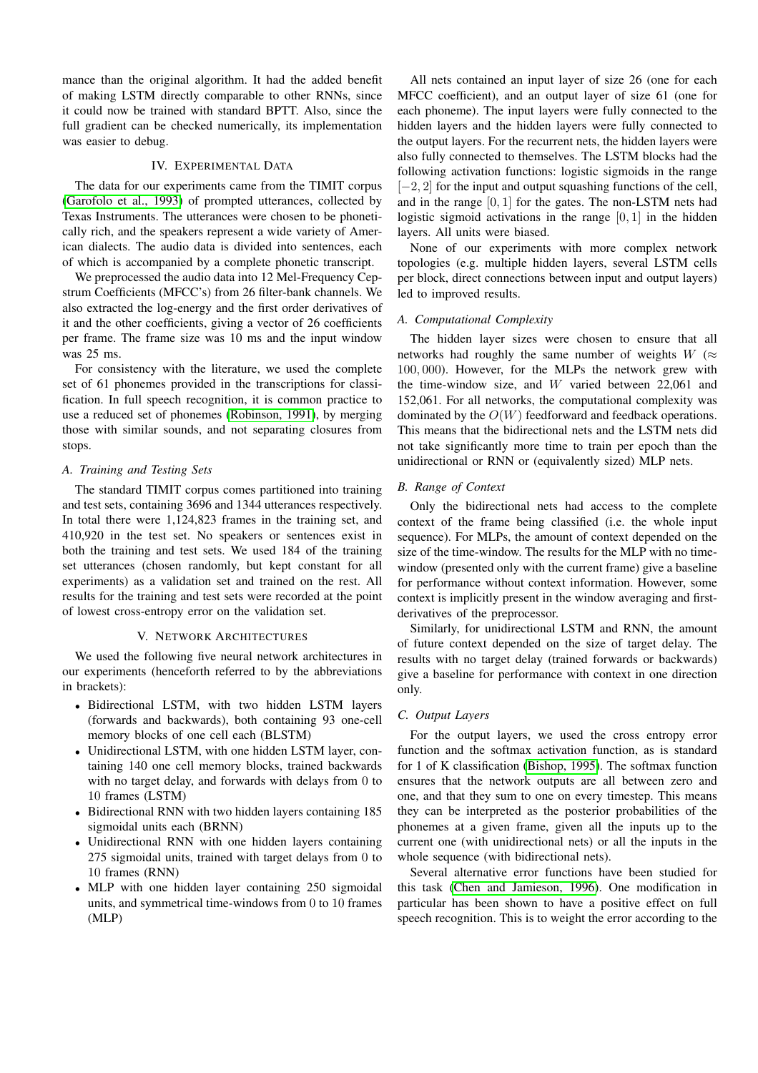<span id="page-2-0"></span>mance than the original algorithm. It had the added benefit of making LSTM directly comparable to other RNNs, since it could now be trained with standard BPTT. Also, since the full gradient can be checked numerically, its implementation was easier to debug.

# IV. EXPERIMENTAL DATA

The data for our experiments came from the TIMIT corpus (Garofolo et al., 1993) of prompted utterances, collected by Texas Instruments. The utterances were chosen to be phonetically rich, and the speakers represent a wide variety of American dialects. The audio data is divided into sentences, each [of which is accompani](#page-7-0)ed by a complete phonetic transcript.

We preprocessed the audio data into 12 Mel-Frequency Cepstrum Coefficients (MFCC's) from 26 filter-bank channels. We also extracted the log-energy and the first order derivatives of it and the other coefficients, giving a vector of 26 coefficients per frame. The frame size was 10 ms and the input window was 25 ms.

For consistency with the literature, we used the complete set of 61 phonemes provided in the transcriptions for classification. In full speech recognition, it is common practice to use a reduced set of phonemes (Robinson, 1991), by merging those with similar sounds, and not separating closures from stops.

#### *A. Training and Testing Sets*

The standard TIMIT corpus c[omes partitioned](#page-7-0) into training and test sets, containing 3696 and 1344 utterances respectively. In total there were 1,124,823 frames in the training set, and 410,920 in the test set. No speakers or sentences exist in both the training and test sets. We used 184 of the training set utterances (chosen randomly, but kept constant for all experiments) as a validation set and trained on the rest. All results for the training and test sets were recorded at the point of lowest cross-entropy error on the validation set.

# V. NETWORK ARCHITECTURES

We used the following five neural network architectures in our experiments (henceforth referred to by the abbreviations in brackets):

- Bidirectional LSTM, with two hidden LSTM layers (forwards and backwards), both containing 93 one-cell memory blocks of one cell each (BLSTM)
- Unidirectional LSTM, with one hidden LSTM layer, containing 140 one cell memory blocks, trained backwards with no target delay, and forwards with delays from 0 to 10 frames (LSTM)
- Bidirectional RNN with two hidden layers containing 185 sigmoidal units each (BRNN)
- Unidirectional RNN with one hidden layers containing 275 sigmoidal units, trained with target delays from 0 to 10 frames (RNN)
- MLP with one hidden layer containing 250 sigmoidal units, and symmetrical time-windows from 0 to 10 frames (MLP)

All nets contained an input layer of size 26 (one for each MFCC coefficient), and an output layer of size 61 (one for each phoneme). The input layers were fully connected to the hidden layers and the hidden layers were fully connected to the output layers. For the recurrent nets, the hidden layers were also fully connected to themselves. The LSTM blocks had the following activation functions: logistic sigmoids in the range  $[-2, 2]$  for the input and output squashing functions of the cell, and in the range [0, 1] for the gates. The non-LSTM nets had logistic sigmoid activations in the range  $[0, 1]$  in the hidden layers. All units were biased.

None of our experiments with more complex network topologies (e.g. multiple hidden layers, several LSTM cells per block, direct connections between input and output layers) led to improved results.

#### *A. Computational Complexity*

The hidden layer sizes were chosen to ensure that all networks had roughly the same number of weights  $W \approx$ 100, 000). However, for the MLPs the network grew with the time-window size, and  $W$  varied between 22,061 and 152,061. For all networks, the computational complexity was dominated by the  $O(W)$  feedforward and feedback operations. This means that the bidirectional nets and the LSTM nets did not take significantly more time to train per epoch than the unidirectional or RNN or (equivalently sized) MLP nets.

# *B. Range of Context*

Only the bidirectional nets had access to the complete context of the frame being classified (i.e. the whole input sequence). For MLPs, the amount of context depended on the size of the time-window. The results for the MLP with no timewindow (presented only with the current frame) give a baseline for performance without context information. However, some context is implicitly present in the window averaging and firstderivatives of the preprocessor.

Similarly, for unidirectional LSTM and RNN, the amount of future context depended on the size of target delay. The results with no target delay (trained forwards or backwards) give a baseline for performance with context in one direction only.

# *C. Output Layers*

For the output layers, we used the cross entropy error function and the softmax activation function, as is standard for 1 of K classification (Bishop, 1995). The softmax function ensures that the network outputs are all between zero and one, and that they sum to one on every timestep. This means they can be interpreted as the posterior probabilities of the phonemes at a given fr[ame, given al](#page-7-0)l the inputs up to the current one (with unidirectional nets) or all the inputs in the whole sequence (with bidirectional nets).

Several alternative error functions have been studied for this task (Chen and Jamieson, 1996). One modification in particular has been shown to have a positive effect on full speech recognition. This is to weight the error according to the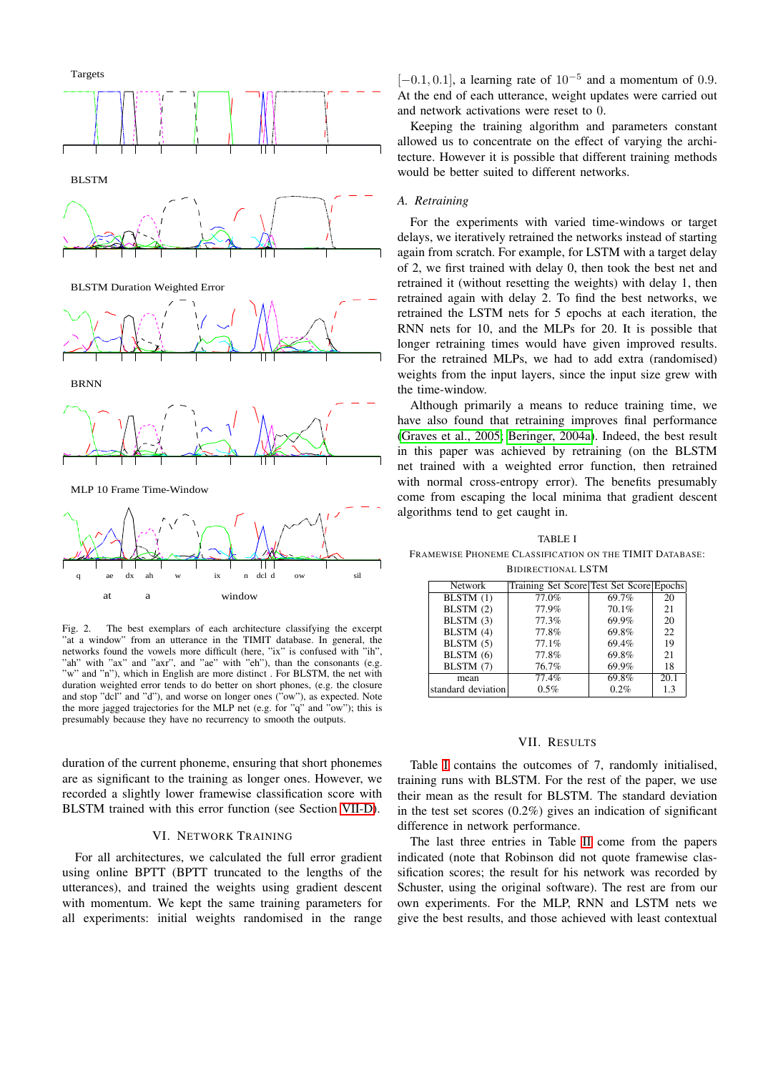<span id="page-3-0"></span>

Fig. 2. The best exemplars of each architecture classifying the excerpt "at a window" from an utterance in the TIMIT database. In general, the networks found the vowels more difficult (here, "ix" is confused with "ih", "ah" with "ax" and "axr", and "ae" with "eh"), than the consonants (e.g. "w" and "n"), which in English are more distinct . For BLSTM, the net with duration weighted error tends to do better on short phones, (e.g. the closure and stop "dcl" and "d"), and worse on longer ones ("ow"), as expected. Note the more jagged trajectories for the MLP net (e.g. for "q" and "ow"); this is presumably because they have no recurrency to smooth the outputs.

duration of the current phoneme, ensuring that short phonemes are as significant to the training as longer ones. However, we recorded a slightly lower framewise classification score with BLSTM trained with this error function (see Section VII-D).

# VI. NETWORK TRAINING

For all architectures, we calculated the full error gradient using online BPTT (BPTT truncated to the length[s of th](#page-5-0)e utterances), and trained the weights using gradient descent with momentum. We kept the same training parameters for all experiments: initial weights randomised in the range

 $[-0.1, 0.1]$ , a learning rate of  $10^{-5}$  and a momentum of 0.9. At the end of each utterance, weight updates were carried out and network activations were reset to 0.

Keeping the training algorithm and parameters constant allowed us to concentrate on the effect of varying the architecture. However it is possible that different training methods would be better suited to different networks.

#### *A. Retraining*

For the experiments with varied time-windows or target delays, we iteratively retrained the networks instead of starting again from scratch. For example, for LSTM with a target delay of 2, we first trained with delay 0, then took the best net and retrained it (without resetting the weights) with delay 1, then retrained again with delay 2. To find the best networks, we retrained the LSTM nets for 5 epochs at each iteration, the RNN nets for 10, and the MLPs for 20. It is possible that longer retraining times would have given improved results. For the retrained MLPs, we had to add extra (randomised) weights from the input layers, since the input size grew with the time-window.

Although primarily a means to reduce training time, we have also found that retraining improves final performance (Graves et al., 2005; Beringer, 2004a). Indeed, the best result in this paper was achieved by retraining (on the BLSTM net trained with a weighted error function, then retrained with normal cross-entropy error). The benefits presumably [come from escaping the local minim](#page-7-0)a that gradient descent algorithms tend to get caught in.

TABLE I FRAMEWISE PHONEME CLASSIFICATION ON THE TIMIT DATABASE: BIDIRECTIONAL LSTM

| <b>Network</b>     | Training Set Score Test Set Score Epochs |       |                   |
|--------------------|------------------------------------------|-------|-------------------|
| BLSTM (1)          | 77.0%                                    | 69.7% | 20                |
| BLSTM (2)          | 77.9%                                    | 70.1% | 21                |
| BLSTM (3)          | 77.3%                                    | 69.9% | 20                |
| BLSTM (4)          | 77.8%                                    | 69.8% | 22                |
| BLSTM (5)          | 77.1%                                    | 69.4% | 19                |
| BLSTM (6)          | 77.8%                                    | 69.8% | 21                |
| BLSTM (7)          | 76.7%                                    | 69.9% | 18                |
| mean               | 77.4%                                    | 69.8% | $\overline{20.1}$ |
| standard deviation | 0.5%                                     | 0.2%  | 1.3               |

# VII. RESULTS

Table I contains the outcomes of 7, randomly initialised, training runs with BLSTM. For the rest of the paper, we use their mean as the result for BLSTM. The standard deviation in the test set scores (0.2%) gives an indication of significant difference in network performance.

The last three entries in Table II come from the papers indicated (note that Robinson did not quote framewise classification scores; the result for his network was recorded by Schuster, using the original software). The rest are from our own experiments. For the MLP, [RN](#page-4-0)N and LSTM nets we give the best results, and those achieved with least contextual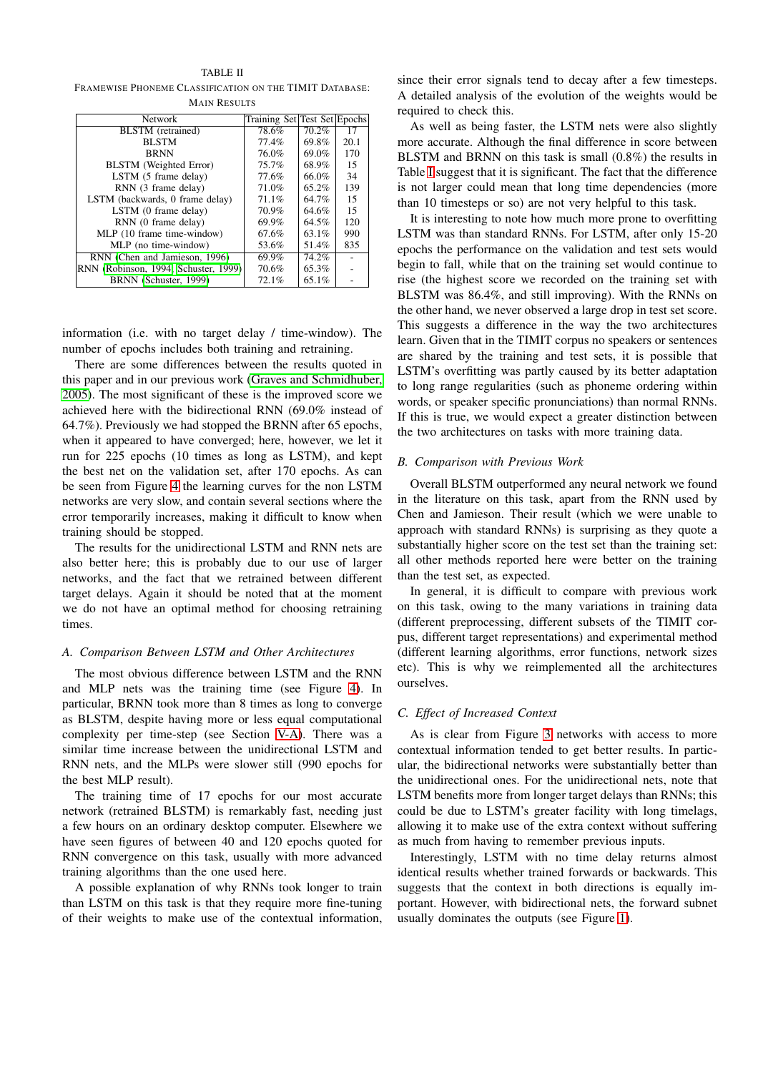TABLE II

<span id="page-4-0"></span>FRAMEWISE PHONEME CLASSIFICATION ON THE TIMIT DATABASE: **MAIN RESULTS** 

| <b>Network</b>                       | Training Set Test Set Epochs |          |      |
|--------------------------------------|------------------------------|----------|------|
| <b>BLSTM</b> (retrained)             | 78.6%                        | 70.2%    | 17   |
| <b>BLSTM</b>                         | 77.4%                        | 69.8%    | 20.1 |
| <b>BRNN</b>                          | 76.0%                        | 69.0%    | 170  |
| <b>BLSTM</b> (Weighted Error)        | 75.7%                        | 68.9%    | 15   |
| LSTM $(5 \text{ frame delay})$       | 77.6%                        | 66.0%    | 34   |
| RNN (3 frame delay)                  | 71.0%                        | 65.2%    | 139  |
| LSTM (backwards, 0 frame delay)      | 71.1%                        | 64.7%    | 15   |
| LSTM $(0 \text{ frame delay})$       | 70.9%                        | 64.6%    | 15   |
| RNN (0 frame delay)                  | 69.9%                        | 64.5%    | 120  |
| MLP (10 frame time-window)           | 67.6%                        | $63.1\%$ | 990  |
| MLP (no time-window)                 | 53.6%                        | 51.4%    | 835  |
| RNN (Chen and Jamieson, 1996)        | 69.9%                        | 74.2%    |      |
| RNN (Robinson, 1994; Schuster, 1999) | 70.6%                        | 65.3%    |      |
| BRNN (Schuster, 1999)                | 72.1%                        | 65.1%    |      |

informa[tion \(i.e. with no target d](#page-7-0)elay / time-window). The number of epo[chs includes b](#page-7-0)oth training and retraining.

There are some differences between the results quoted in this paper and in our previous work (Graves and Schmidhuber, 2005). The most significant of these is the improved score we achieved here with the bidirectional RNN (69.0% instead of 64.7%). Previously we had stopped the BRNN after 65 epochs, when it appeared to have converge[d; here, however, we let it](#page-7-0) [run f](#page-7-0)or 225 epochs (10 times as long as LSTM), and kept the best net on the validation set, after 170 epochs. As can be seen from Figure 4 the learning curves for the non LSTM networks are very slow, and contain several sections where the error temporarily increases, making it difficult to know when training should be stopped.

The results for th[e u](#page-5-0)nidirectional LSTM and RNN nets are also better here; this is probably due to our use of larger networks, and the fact that we retrained between different target delays. Again it should be noted that at the moment we do not have an optimal method for choosing retraining times.

# *A. Comparison Between LSTM and Other Architectures*

The most obvious difference between LSTM and the RNN and MLP nets was the training time (see Figure 4). In particular, BRNN took more than 8 times as long to converge as BLSTM, despite having more or less equal computational complexity per time-step (see Section V-A). There was a similar time increase between the unidirectional LST[M](#page-5-0) and RNN nets, and the MLPs were slower still (990 epochs for the best MLP result).

The training time of 17 epochs for [our](#page-2-0) most accurate network (retrained BLSTM) is remarkably fast, needing just a few hours on an ordinary desktop computer. Elsewhere we have seen figures of between 40 and 120 epochs quoted for RNN convergence on this task, usually with more advanced training algorithms than the one used here.

A possible explanation of why RNNs took longer to train than LSTM on this task is that they require more fine-tuning of their weights to make use of the contextual information, since their error signals tend to decay after a few timesteps. A detailed analysis of the evolution of the weights would be required to check this.

As well as being faster, the LSTM nets were also slightly more accurate. Although the final difference in score between BLSTM and BRNN on this task is small (0.8%) the results in Table I suggest that it is significant. The fact that the difference is not larger could mean that long time dependencies (more than 10 timesteps or so) are not very helpful to this task.

It is interesting to note how much more prone to overfitting LST[M](#page-3-0) was than standard RNNs. For LSTM, after only 15-20 epochs the performance on the validation and test sets would begin to fall, while that on the training set would continue to rise (the highest score we recorded on the training set with BLSTM was 86.4%, and still improving). With the RNNs on the other hand, we never observed a large drop in test set score. This suggests a difference in the way the two architectures learn. Given that in the TIMIT corpus no speakers or sentences are shared by the training and test sets, it is possible that LSTM's overfitting was partly caused by its better adaptation to long range regularities (such as phoneme ordering within words, or speaker specific pronunciations) than normal RNNs. If this is true, we would expect a greater distinction between the two architectures on tasks with more training data.

# *B. Comparison with Previous Work*

Overall BLSTM outperformed any neural network we found in the literature on this task, apart from the RNN used by Chen and Jamieson. Their result (which we were unable to approach with standard RNNs) is surprising as they quote a substantially higher score on the test set than the training set: all other methods reported here were better on the training than the test set, as expected.

In general, it is difficult to compare with previous work on this task, owing to the many variations in training data (different preprocessing, different subsets of the TIMIT corpus, different target representations) and experimental method (different learning algorithms, error functions, network sizes etc). This is why we reimplemented all the architectures ourselves.

# *C. Effect of Increased Context*

As is clear from Figure 3 networks with access to more contextual information tended to get better results. In particular, the bidirectional networks were substantially better than the unidirectional ones. For the unidirectional nets, note that LSTM benefits more from l[ong](#page-5-0)er target delays than RNNs; this could be due to LSTM's greater facility with long timelags, allowing it to make use of the extra context without suffering as much from having to remember previous inputs.

Interestingly, LSTM with no time delay returns almost identical results whether trained forwards or backwards. This suggests that the context in both directions is equally important. However, with bidirectional nets, the forward subnet usually dominates the outputs (see Figure 1).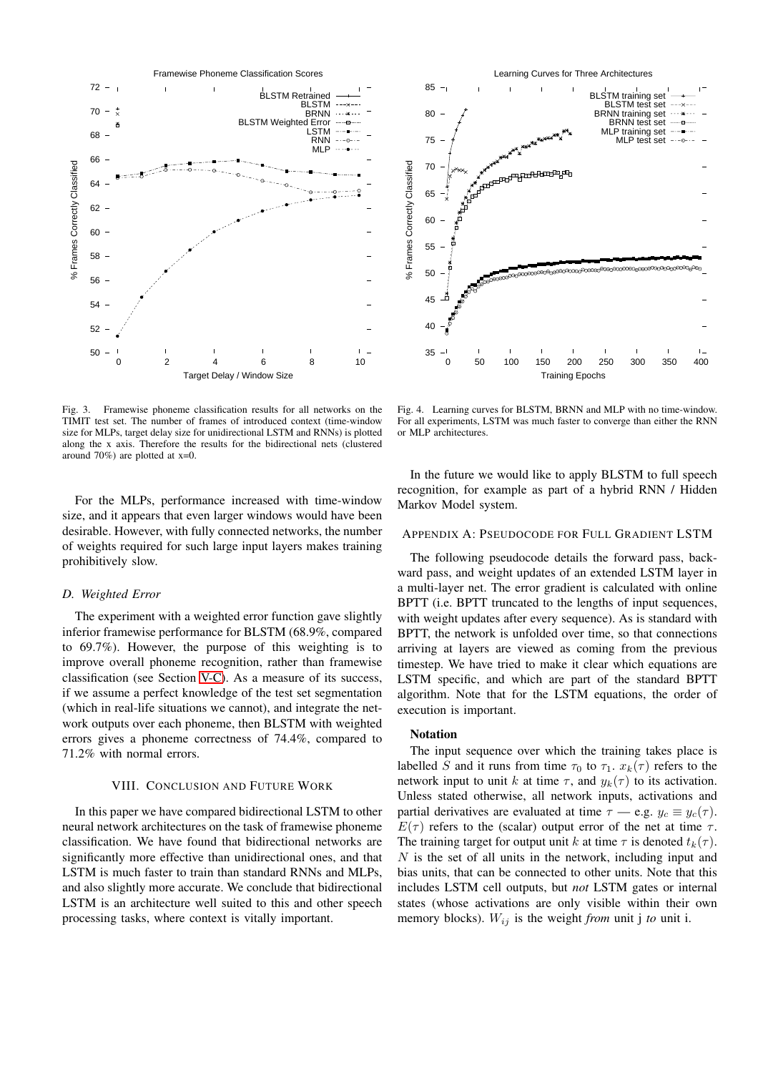<span id="page-5-0"></span>

Fig. 3. Framewise phoneme classification results for all networks on the TIMIT test set. The number of frames of introduced context (time-window size for MLPs, target delay size for unidirectional LSTM and RNNs) is plotted along the x axis. Therefore the results for the bidirectional nets (clustered around 70%) are plotted at x=0.

For the MLPs, performance increased with time-window size, and it appears that even larger windows would have been desirable. However, with fully connected networks, the number of weights required for such large input layers makes training prohibitively slow.

# *D. Weighted Error*

The experiment with a weighted error function gave slightly inferior framewise performance for BLSTM (68.9%, compared to 69.7%). However, the purpose of this weighting is to improve overall phoneme recognition, rather than framewise classification (see Section V-C). As a measure of its success, if we assume a perfect knowledge of the test set segmentation (which in real-life situations we cannot), and integrate the network outputs over each phoneme, then BLSTM with weighted errors gives a phoneme [correc](#page-2-0)tness of 74.4%, compared to 71.2% with normal errors.

# VIII. CONCLUSION AND FUTURE WORK

In this paper we have compared bidirectional LSTM to other neural network architectures on the task of framewise phoneme classification. We have found that bidirectional networks are significantly more effective than unidirectional ones, and that LSTM is much faster to train than standard RNNs and MLPs, and also slightly more accurate. We conclude that bidirectional LSTM is an architecture well suited to this and other speech processing tasks, where context is vitally important.

Learning Curves for Three Architectures



Fig. 4. Learning curves for BLSTM, BRNN and MLP with no time-window. For all experiments, LSTM was much faster to converge than either the RNN or MLP architectures.

In the future we would like to apply BLSTM to full speech recognition, for example as part of a hybrid RNN / Hidden Markov Model system.

# APPENDIX A: PSEUDOCODE FOR FULL GRADIENT LSTM

The following pseudocode details the forward pass, backward pass, and weight updates of an extended LSTM layer in a multi-layer net. The error gradient is calculated with online BPTT (i.e. BPTT truncated to the lengths of input sequences, with weight updates after every sequence). As is standard with BPTT, the network is unfolded over time, so that connections arriving at layers are viewed as coming from the previous timestep. We have tried to make it clear which equations are LSTM specific, and which are part of the standard BPTT algorithm. Note that for the LSTM equations, the order of execution is important.

# Notation

The input sequence over which the training takes place is labelled S and it runs from time  $\tau_0$  to  $\tau_1$ .  $x_k(\tau)$  refers to the network input to unit k at time  $\tau$ , and  $y_k(\tau)$  to its activation. Unless stated otherwise, all network inputs, activations and partial derivatives are evaluated at time  $\tau$  — e.g.  $y_c \equiv y_c(\tau)$ .  $E(\tau)$  refers to the (scalar) output error of the net at time  $\tau$ . The training target for output unit k at time  $\tau$  is denoted  $t_k(\tau)$ .  $N$  is the set of all units in the network, including input and bias units, that can be connected to other units. Note that this includes LSTM cell outputs, but *not* LSTM gates or internal states (whose activations are only visible within their own memory blocks).  $W_{ij}$  is the weight *from* unit j *to* unit i.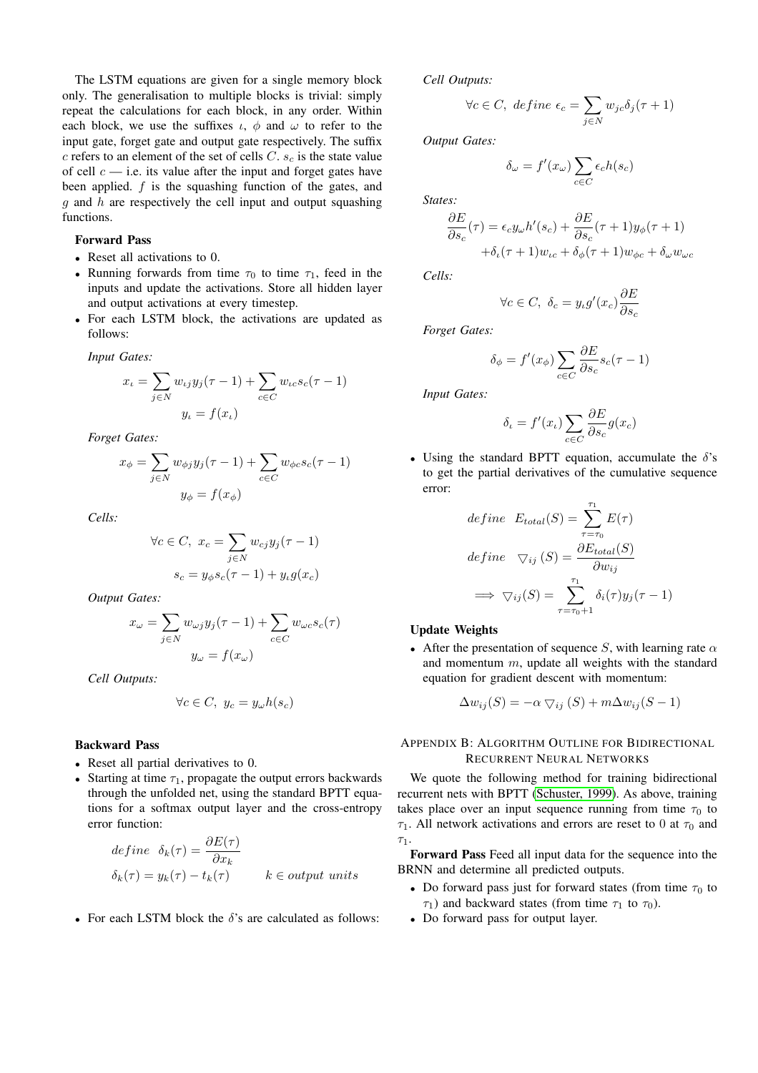The LSTM equations are given for a single memory block only. The generalisation to multiple blocks is trivial: simply repeat the calculations for each block, in any order. Within each block, we use the suffixes  $\iota$ ,  $\phi$  and  $\omega$  to refer to the input gate, forget gate and output gate respectively. The suffix c refers to an element of the set of cells  $C$ .  $s_c$  is the state value of cell  $c$  — i.e. its value after the input and forget gates have been applied.  $f$  is the squashing function of the gates, and  $g$  and  $h$  are respectively the cell input and output squashing functions.

# Forward Pass

- Reset all activations to 0.
- Running forwards from time  $\tau_0$  to time  $\tau_1$ , feed in the inputs and update the activations. Store all hidden layer and output activations at every timestep.
- For each LSTM block, the activations are updated as follows:

*Input Gates:*

$$
x_{\iota} = \sum_{j \in N} w_{\iota j} y_j(\tau - 1) + \sum_{c \in C} w_{\iota c} s_c(\tau - 1)
$$

$$
y_{\iota} = f(x_{\iota})
$$

*Forget Gates:*

$$
x_{\phi} = \sum_{j \in N} w_{\phi j} y_j(\tau - 1) + \sum_{c \in C} w_{\phi c} s_c(\tau - 1)
$$

$$
y_{\phi} = f(x_{\phi})
$$

*Cells:*

$$
\forall c \in C, \ x_c = \sum_{j \in N} w_{cj} y_j (\tau - 1)
$$

$$
s_c = y_{\phi} s_c (\tau - 1) + y_{\iota} g(x_c)
$$

*Output Gates:*

$$
x_{\omega} = \sum_{j \in N} w_{\omega j} y_j(\tau - 1) + \sum_{c \in C} w_{\omega c} s_c(\tau)
$$
  

$$
y_{\omega} = f(x_{\omega})
$$

*Cell Outputs:*

$$
\forall c \in C, y_c = y_\omega h(s_c)
$$

# Backward Pass

- Reset all partial derivatives to 0.
- Starting at time  $\tau_1$ , propagate the output errors backwards through the unfolded net, using the standard BPTT equations for a softmax output layer and the cross-entropy error function:

$$
define \quad \delta_k(\tau) = \frac{\partial E(\tau)}{\partial x_k}
$$
  

$$
\delta_k(\tau) = y_k(\tau) - t_k(\tau) \qquad k \in output \ units
$$

• For each LSTM block the  $\delta$ 's are calculated as follows:

*Cell Outputs:*

$$
\forall c \in C, \ define \ \epsilon_c = \sum_{j \in N} w_{jc} \delta_j(\tau + 1)
$$

 $\overline{\phantom{a}}$ 

 $\epsilon_c h(s_c)$ 

c∈C

*Output Gates:*

$$
\delta_{\omega} = f'(x_{\omega})
$$

$$
\frac{\partial E}{\partial s_c}(\tau) = \epsilon_c y_\omega h'(s_c) + \frac{\partial E}{\partial s_c}(\tau + 1) y_\phi(\tau + 1) + \delta_\iota(\tau + 1) w_{\iota c} + \delta_\phi(\tau + 1) w_{\phi c} + \delta_\omega w_{\omega c}
$$

*Cells:*

*States:*

$$
\forall c \in C, \ \delta_c = y_{\iota} g'(x_c) \frac{\partial E}{\partial s_c}
$$

*Forget Gates:*

$$
\delta_{\phi} = f'(x_{\phi}) \sum_{c \in C} \frac{\partial E}{\partial s_c} s_c(\tau - 1)
$$

*Input Gates:*

$$
\delta_{\iota} = f'(x_{\iota}) \sum_{c \in C} \frac{\partial E}{\partial s_c} g(x_c)
$$

• Using the standard BPTT equation, accumulate the  $\delta$ 's to get the partial derivatives of the cumulative sequence error:

define 
$$
E_{total}(S) = \sum_{\tau=\tau_0}^{\tau_1} E(\tau)
$$
  
\ndefine  $\nabla_{ij}(S) = \frac{\partial E_{total}(S)}{\partial w_{ij}}$   
\n $\implies \nabla_{ij}(S) = \sum_{\tau=\tau_0+1}^{\tau_1} \delta_i(\tau) y_j(\tau - 1)$ 

# Update Weights

• After the presentation of sequence S, with learning rate  $\alpha$ and momentum  $m$ , update all weights with the standard equation for gradient descent with momentum:

$$
\Delta w_{ij}(S) = -\alpha \nabla_{ij} (S) + m \Delta w_{ij} (S - 1)
$$

# APPENDIX B: ALGORITHM OUTLINE FOR BIDIRECTIONAL RECURRENT NEURAL NETWORKS

We quote the following method for training bidirectional recurrent nets with BPTT (Schuster, 1999). As above, training takes place over an input sequence running from time  $\tau_0$  to  $\tau_1$ . All network activations and errors are reset to 0 at  $\tau_0$  and  $\tau_1$ .

Forward Pass Feed all [input data for th](#page-7-0)e sequence into the BRNN and determine all predicted outputs.

- Do forward pass just for forward states (from time  $\tau_0$  to  $\tau_1$ ) and backward states (from time  $\tau_1$  to  $\tau_0$ ).
- Do forward pass for output layer.